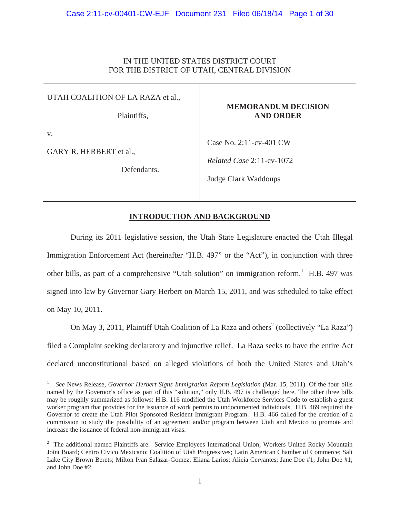# IN THE UNITED STATES DISTRICT COURT FOR THE DISTRICT OF UTAH, CENTRAL DIVISION

UTAH COALITION OF LA RAZA et al.,

Plaintiffs,

# **MEMORANDUM DECISION AND ORDER**

v.

GARY R. HERBERT et al.,

Defendants.

Case No. 2:11-cv-401 CW

*Related Case* 2:11-cv-1072

Judge Clark Waddoups

# **INTRODUCTION AND BACKGROUND**

 During its 2011 legislative session, the Utah State Legislature enacted the Utah Illegal Immigration Enforcement Act (hereinafter "H.B. 497" or the "Act"), in conjunction with three other bills, as part of a comprehensive "Utah solution" on immigration reform.<sup>1</sup> H.B. 497 was signed into law by Governor Gary Herbert on March 15, 2011, and was scheduled to take effect on May 10, 2011.

On May 3, 2011, Plaintiff Utah Coalition of La Raza and others<sup>2</sup> (collectively "La Raza") filed a Complaint seeking declaratory and injunctive relief. La Raza seeks to have the entire Act declared unconstitutional based on alleged violations of both the United States and Utah's

<sup>1</sup> *See* News Release, *Governor Herbert Signs Immigration Reform Legislation* (Mar. 15, 2011). Of the four bills named by the Governor's office as part of this "solution," only H.B. 497 is challenged here. The other three bills may be roughly summarized as follows: H.B. 116 modified the Utah Workforce Services Code to establish a guest worker program that provides for the issuance of work permits to undocumented individuals. H.B. 469 required the Governor to create the Utah Pilot Sponsored Resident Immigrant Program. H.B. 466 called for the creation of a commission to study the possibility of an agreement and/or program between Utah and Mexico to promote and increase the issuance of federal non-immigrant visas.

<sup>&</sup>lt;sup>2</sup> The additional named Plaintiffs are: Service Employees International Union; Workers United Rocky Mountain Joint Board; Centro Civico Mexicano; Coalition of Utah Progressives; Latin American Chamber of Commerce; Salt Lake City Brown Berets; Milton Ivan Salazar-Gomez; Eliana Larios; Alicia Cervantes; Jane Doe #1; John Doe #1; and John Doe #2.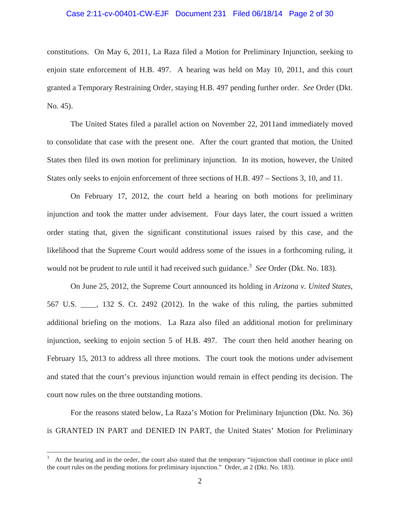# Case 2:11-cv-00401-CW-EJF Document 231 Filed 06/18/14 Page 2 of 30

constitutions. On May 6, 2011, La Raza filed a Motion for Preliminary Injunction, seeking to enjoin state enforcement of H.B. 497. A hearing was held on May 10, 2011, and this court granted a Temporary Restraining Order, staying H.B. 497 pending further order. *See* Order (Dkt. No. 45).

 The United States filed a parallel action on November 22, 2011and immediately moved to consolidate that case with the present one. After the court granted that motion, the United States then filed its own motion for preliminary injunction. In its motion, however, the United States only seeks to enjoin enforcement of three sections of H.B. 497 – Sections 3, 10, and 11.

 On February 17, 2012, the court held a hearing on both motions for preliminary injunction and took the matter under advisement. Four days later, the court issued a written order stating that, given the significant constitutional issues raised by this case, and the likelihood that the Supreme Court would address some of the issues in a forthcoming ruling, it would not be prudent to rule until it had received such guidance.<sup>3</sup> *See* Order (Dkt. No. 183).

 On June 25, 2012, the Supreme Court announced its holding in *Arizona v. United States*, 567 U.S. \_\_\_\_, 132 S. Ct. 2492 (2012). In the wake of this ruling, the parties submitted additional briefing on the motions. La Raza also filed an additional motion for preliminary injunction, seeking to enjoin section 5 of H.B. 497. The court then held another hearing on February 15, 2013 to address all three motions. The court took the motions under advisement and stated that the court's previous injunction would remain in effect pending its decision. The court now rules on the three outstanding motions.

 For the reasons stated below, La Raza's Motion for Preliminary Injunction (Dkt. No. 36) is GRANTED IN PART and DENIED IN PART, the United States' Motion for Preliminary

<sup>3</sup> At the hearing and in the order, the court also stated that the temporary "injunction shall continue in place until the court rules on the pending motions for preliminary injunction." Order, at 2 (Dkt. No. 183).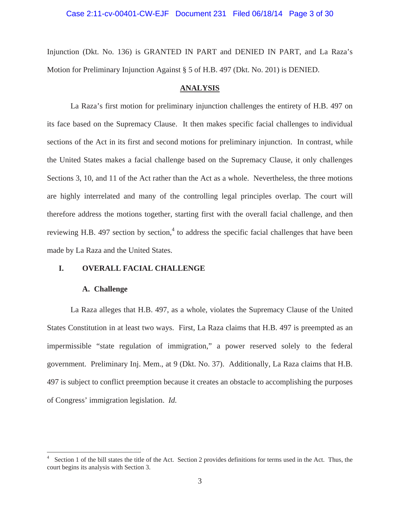Injunction (Dkt. No. 136) is GRANTED IN PART and DENIED IN PART, and La Raza's Motion for Preliminary Injunction Against § 5 of H.B. 497 (Dkt. No. 201) is DENIED.

## **ANALYSIS**

La Raza's first motion for preliminary injunction challenges the entirety of H.B. 497 on its face based on the Supremacy Clause. It then makes specific facial challenges to individual sections of the Act in its first and second motions for preliminary injunction. In contrast, while the United States makes a facial challenge based on the Supremacy Clause, it only challenges Sections 3, 10, and 11 of the Act rather than the Act as a whole. Nevertheless, the three motions are highly interrelated and many of the controlling legal principles overlap. The court will therefore address the motions together, starting first with the overall facial challenge, and then reviewing H.B. 497 section by section,<sup>4</sup> to address the specific facial challenges that have been made by La Raza and the United States.

# **I. OVERALL FACIAL CHALLENGE**

## **A. Challenge**

La Raza alleges that H.B. 497, as a whole, violates the Supremacy Clause of the United States Constitution in at least two ways. First, La Raza claims that H.B. 497 is preempted as an impermissible "state regulation of immigration," a power reserved solely to the federal government. Preliminary Inj. Mem., at 9 (Dkt. No. 37). Additionally, La Raza claims that H.B. 497 is subject to conflict preemption because it creates an obstacle to accomplishing the purposes of Congress' immigration legislation. *Id.*

<sup>4</sup> Section 1 of the bill states the title of the Act. Section 2 provides definitions for terms used in the Act. Thus, the court begins its analysis with Section 3.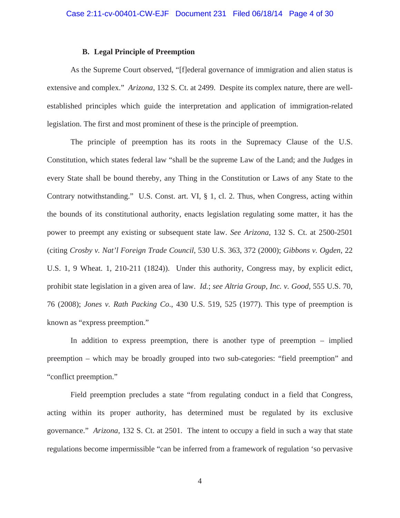# **B. Legal Principle of Preemption**

As the Supreme Court observed, "[f]ederal governance of immigration and alien status is extensive and complex." *Arizona*, 132 S. Ct. at 2499. Despite its complex nature, there are wellestablished principles which guide the interpretation and application of immigration-related legislation. The first and most prominent of these is the principle of preemption.

The principle of preemption has its roots in the Supremacy Clause of the U.S. Constitution, which states federal law "shall be the supreme Law of the Land; and the Judges in every State shall be bound thereby, any Thing in the Constitution or Laws of any State to the Contrary notwithstanding." U.S. Const. art. VI, § 1, cl. 2. Thus, when Congress, acting within the bounds of its constitutional authority, enacts legislation regulating some matter, it has the power to preempt any existing or subsequent state law. *See Arizona*, 132 S. Ct. at 2500-2501 (citing *Crosby v. Nat'l Foreign Trade Council*, 530 U.S. 363, 372 (2000); *Gibbons v. Ogden*, 22 U.S. 1, 9 Wheat. 1, 210-211 (1824)). Under this authority, Congress may, by explicit edict, prohibit state legislation in a given area of law. *Id.*; *see Altria Group, Inc. v. Good*, 555 U.S. 70, 76 (2008); *Jones v. Rath Packing Co*., 430 U.S. 519, 525 (1977). This type of preemption is known as "express preemption."

In addition to express preemption, there is another type of preemption – implied preemption – which may be broadly grouped into two sub-categories: "field preemption" and "conflict preemption."

Field preemption precludes a state "from regulating conduct in a field that Congress, acting within its proper authority, has determined must be regulated by its exclusive governance." *Arizona*, 132 S. Ct. at 2501. The intent to occupy a field in such a way that state regulations become impermissible "can be inferred from a framework of regulation 'so pervasive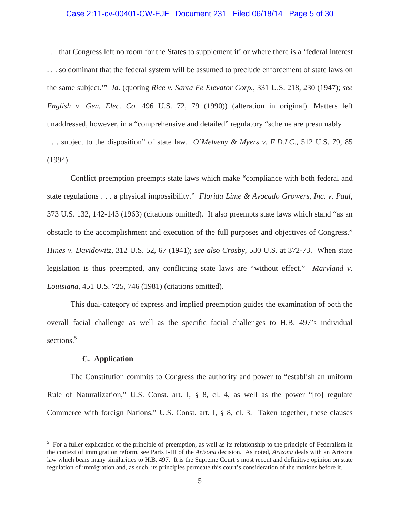#### Case 2:11-cv-00401-CW-EJF Document 231 Filed 06/18/14 Page 5 of 30

. . . that Congress left no room for the States to supplement it' or where there is a 'federal interest . . . so dominant that the federal system will be assumed to preclude enforcement of state laws on the same subject.'" *Id.* (quoting *Rice v. Santa Fe Elevator Corp.*, 331 U.S. 218, 230 (1947); *see English v. Gen. Elec. Co.* 496 U.S. 72, 79 (1990)) (alteration in original). Matters left unaddressed, however, in a "comprehensive and detailed" regulatory "scheme are presumably . . . subject to the disposition" of state law. *O'Melveny & Myers v. F.D.I.C.*, 512 U.S. 79, 85 (1994).

Conflict preemption preempts state laws which make "compliance with both federal and state regulations . . . a physical impossibility." *Florida Lime & Avocado Growers, Inc. v. Paul*, 373 U.S. 132, 142-143 (1963) (citations omitted). It also preempts state laws which stand "as an obstacle to the accomplishment and execution of the full purposes and objectives of Congress." *Hines v. Davidowitz*, 312 U.S. 52, 67 (1941); *see also Crosby*, 530 U.S. at 372-73. When state legislation is thus preempted, any conflicting state laws are "without effect." *Maryland v. Louisiana,* 451 U.S. 725, 746 (1981) (citations omitted).

This dual-category of express and implied preemption guides the examination of both the overall facial challenge as well as the specific facial challenges to H.B. 497's individual sections.<sup>5</sup>

### **C. Application**

The Constitution commits to Congress the authority and power to "establish an uniform Rule of Naturalization," U.S. Const. art. I, § 8, cl. 4, as well as the power "[to] regulate Commerce with foreign Nations," U.S. Const. art. I, § 8, cl. 3. Taken together, these clauses

 $5$  For a fuller explication of the principle of preemption, as well as its relationship to the principle of Federalism in the context of immigration reform, see Parts I-III of the *Arizona* decision. As noted, *Arizona* deals with an Arizona law which bears many similarities to H.B. 497. It is the Supreme Court's most recent and definitive opinion on state regulation of immigration and, as such, its principles permeate this court's consideration of the motions before it.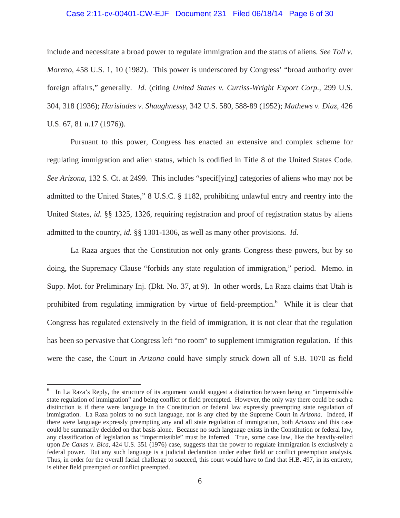#### Case 2:11-cv-00401-CW-EJF Document 231 Filed 06/18/14 Page 6 of 30

include and necessitate a broad power to regulate immigration and the status of aliens. *See Toll v. Moreno*, 458 U.S. 1, 10 (1982). This power is underscored by Congress' "broad authority over foreign affairs," generally. *Id.* (citing *United States v. Curtiss-Wright Export Corp.*, 299 U.S. 304, 318 (1936); *Harisiades v. Shaughnessy*, 342 U.S. 580, 588-89 (1952); *Mathews v. Diaz,* 426 U.S. 67, 81 n.17 (1976)).

Pursuant to this power, Congress has enacted an extensive and complex scheme for regulating immigration and alien status, which is codified in Title 8 of the United States Code. *See Arizona*, 132 S. Ct. at 2499. This includes "specif[ying] categories of aliens who may not be admitted to the United States," 8 U.S.C. § 1182, prohibiting unlawful entry and reentry into the United States, *id.* §§ 1325, 1326, requiring registration and proof of registration status by aliens admitted to the country, *id.* §§ 1301-1306, as well as many other provisions. *Id.*

La Raza argues that the Constitution not only grants Congress these powers, but by so doing, the Supremacy Clause "forbids any state regulation of immigration," period. Memo. in Supp. Mot. for Preliminary Inj. (Dkt. No. 37, at 9). In other words, La Raza claims that Utah is prohibited from regulating immigration by virtue of field-preemption. <sup>6</sup> While it is clear that Congress has regulated extensively in the field of immigration, it is not clear that the regulation has been so pervasive that Congress left "no room" to supplement immigration regulation. If this were the case, the Court in *Arizona* could have simply struck down all of S.B. 1070 as field

<sup>6</sup> In La Raza's Reply, the structure of its argument would suggest a distinction between being an "impermissible state regulation of immigration" and being conflict or field preempted. However, the only way there could be such a distinction is if there were language in the Constitution or federal law expressly preempting state regulation of immigration. La Raza points to no such language, nor is any cited by the Supreme Court in *Arizona*. Indeed, if there were language expressly preempting any and all state regulation of immigration, both *Arizona* and this case could be summarily decided on that basis alone. Because no such language exists in the Constitution or federal law, any classification of legislation as "impermissible" must be inferred. True, some case law, like the heavily-relied upon *De Canas v. Bica*, 424 U.S. 351 (1976) case, suggests that the power to regulate immigration is exclusively a federal power. But any such language is a judicial declaration under either field or conflict preemption analysis. Thus, in order for the overall facial challenge to succeed, this court would have to find that H.B. 497, in its entirety, is either field preempted or conflict preempted.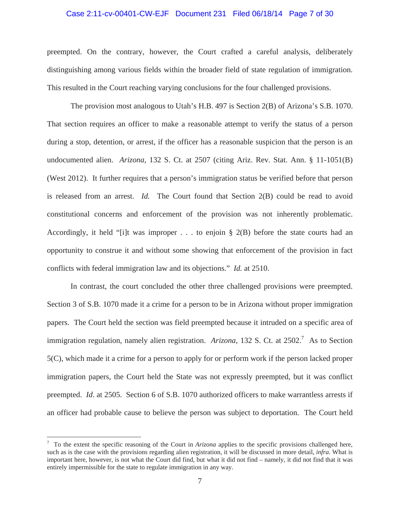# Case 2:11-cv-00401-CW-EJF Document 231 Filed 06/18/14 Page 7 of 30

preempted. On the contrary, however, the Court crafted a careful analysis, deliberately distinguishing among various fields within the broader field of state regulation of immigration. This resulted in the Court reaching varying conclusions for the four challenged provisions.

The provision most analogous to Utah's H.B. 497 is Section 2(B) of Arizona's S.B. 1070. That section requires an officer to make a reasonable attempt to verify the status of a person during a stop, detention, or arrest, if the officer has a reasonable suspicion that the person is an undocumented alien. *Arizona*, 132 S. Ct. at 2507 (citing Ariz. Rev. Stat. Ann. § 11-1051(B) (West 2012). It further requires that a person's immigration status be verified before that person is released from an arrest. *Id.* The Court found that Section 2(B) could be read to avoid constitutional concerns and enforcement of the provision was not inherently problematic. Accordingly, it held "[i]t was improper  $\dots$  to enjoin § 2(B) before the state courts had an opportunity to construe it and without some showing that enforcement of the provision in fact conflicts with federal immigration law and its objections." *Id.* at 2510.

In contrast, the court concluded the other three challenged provisions were preempted. Section 3 of S.B. 1070 made it a crime for a person to be in Arizona without proper immigration papers. The Court held the section was field preempted because it intruded on a specific area of immigration regulation, namely alien registration. Arizona, 132 S. Ct. at 2502.<sup>7</sup> As to Section 5(C), which made it a crime for a person to apply for or perform work if the person lacked proper immigration papers, the Court held the State was not expressly preempted, but it was conflict preempted. *Id*. at 2505. Section 6 of S.B. 1070 authorized officers to make warrantless arrests if an officer had probable cause to believe the person was subject to deportation. The Court held

<sup>7</sup> To the extent the specific reasoning of the Court in *Arizona* applies to the specific provisions challenged here, such as is the case with the provisions regarding alien registration, it will be discussed in more detail, *infra*. What is important here, however, is not what the Court did find, but what it did not find – namely, it did not find that it was entirely impermissible for the state to regulate immigration in any way.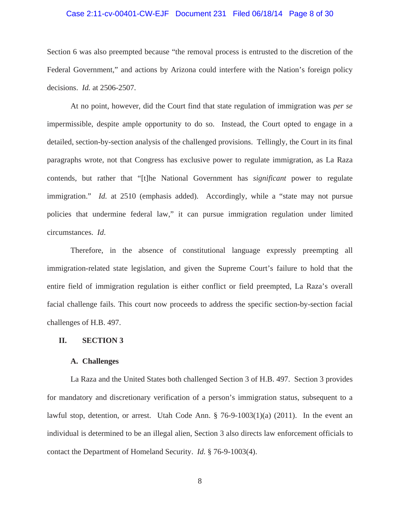## Case 2:11-cv-00401-CW-EJF Document 231 Filed 06/18/14 Page 8 of 30

Section 6 was also preempted because "the removal process is entrusted to the discretion of the Federal Government," and actions by Arizona could interfere with the Nation's foreign policy decisions. *Id.* at 2506-2507.

At no point, however, did the Court find that state regulation of immigration was *per se* impermissible, despite ample opportunity to do so. Instead, the Court opted to engage in a detailed, section-by-section analysis of the challenged provisions. Tellingly, the Court in its final paragraphs wrote, not that Congress has exclusive power to regulate immigration, as La Raza contends, but rather that "[t]he National Government has *significant* power to regulate immigration." *Id.* at 2510 (emphasis added). Accordingly, while a "state may not pursue policies that undermine federal law," it can pursue immigration regulation under limited circumstances. *Id*.

Therefore, in the absence of constitutional language expressly preempting all immigration-related state legislation, and given the Supreme Court's failure to hold that the entire field of immigration regulation is either conflict or field preempted, La Raza's overall facial challenge fails. This court now proceeds to address the specific section-by-section facial challenges of H.B. 497.

### **II. SECTION 3**

## **A. Challenges**

La Raza and the United States both challenged Section 3 of H.B. 497. Section 3 provides for mandatory and discretionary verification of a person's immigration status, subsequent to a lawful stop, detention, or arrest. Utah Code Ann.  $\S$  76-9-1003(1)(a) (2011). In the event an individual is determined to be an illegal alien, Section 3 also directs law enforcement officials to contact the Department of Homeland Security. *Id.* § 76-9-1003(4).

8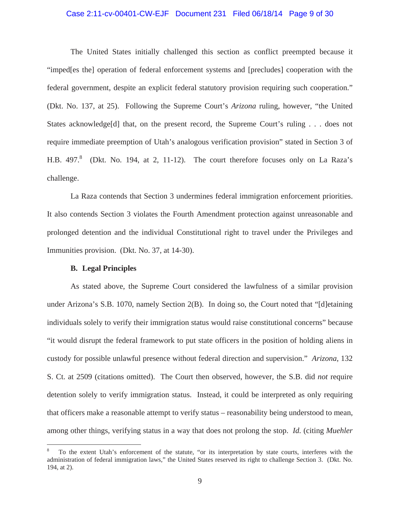## Case 2:11-cv-00401-CW-EJF Document 231 Filed 06/18/14 Page 9 of 30

The United States initially challenged this section as conflict preempted because it "imped[es the] operation of federal enforcement systems and [precludes] cooperation with the federal government, despite an explicit federal statutory provision requiring such cooperation." (Dkt. No. 137, at 25). Following the Supreme Court's *Arizona* ruling, however, "the United States acknowledge[d] that, on the present record, the Supreme Court's ruling . . . does not require immediate preemption of Utah's analogous verification provision" stated in Section 3 of H.B.  $497.8$  (Dkt. No. 194, at 2, 11-12). The court therefore focuses only on La Raza's challenge.

La Raza contends that Section 3 undermines federal immigration enforcement priorities. It also contends Section 3 violates the Fourth Amendment protection against unreasonable and prolonged detention and the individual Constitutional right to travel under the Privileges and Immunities provision. (Dkt. No. 37, at 14-30).

### **B. Legal Principles**

As stated above, the Supreme Court considered the lawfulness of a similar provision under Arizona's S.B. 1070, namely Section 2(B). In doing so, the Court noted that "[d]etaining individuals solely to verify their immigration status would raise constitutional concerns" because "it would disrupt the federal framework to put state officers in the position of holding aliens in custody for possible unlawful presence without federal direction and supervision." *Arizona*, 132 S. Ct. at 2509 (citations omitted). The Court then observed, however, the S.B. did *not* require detention solely to verify immigration status. Instead, it could be interpreted as only requiring that officers make a reasonable attempt to verify status – reasonability being understood to mean, among other things, verifying status in a way that does not prolong the stop. *Id.* (citing *Muehler* 

<sup>8</sup> To the extent Utah's enforcement of the statute, "or its interpretation by state courts, interferes with the administration of federal immigration laws," the United States reserved its right to challenge Section 3. (Dkt. No. 194, at 2).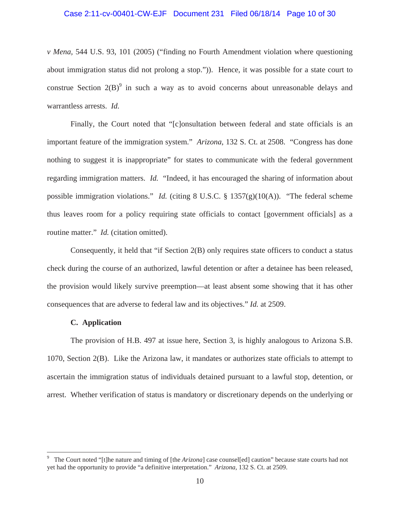# Case 2:11-cv-00401-CW-EJF Document 231 Filed 06/18/14 Page 10 of 30

*v Mena,* 544 U.S. 93, 101 (2005) ("finding no Fourth Amendment violation where questioning about immigration status did not prolong a stop.")). Hence, it was possible for a state court to construe Section  $2(B)^9$  in such a way as to avoid concerns about unreasonable delays and warrantless arrests. *Id.*

Finally, the Court noted that "[c]onsultation between federal and state officials is an important feature of the immigration system." *Arizona*, 132 S. Ct. at 2508. "Congress has done nothing to suggest it is inappropriate" for states to communicate with the federal government regarding immigration matters. *Id.* "Indeed, it has encouraged the sharing of information about possible immigration violations." *Id.* (citing 8 U.S.C. § 1357(g)(10(A)). "The federal scheme thus leaves room for a policy requiring state officials to contact [government officials] as a routine matter." *Id.* (citation omitted).

Consequently, it held that "if Section 2(B) only requires state officers to conduct a status check during the course of an authorized, lawful detention or after a detainee has been released, the provision would likely survive preemption—at least absent some showing that it has other consequences that are adverse to federal law and its objectives." *Id.* at 2509.

#### **C. Application**

The provision of H.B. 497 at issue here, Section 3, is highly analogous to Arizona S.B. 1070, Section 2(B). Like the Arizona law, it mandates or authorizes state officials to attempt to ascertain the immigration status of individuals detained pursuant to a lawful stop, detention, or arrest. Whether verification of status is mandatory or discretionary depends on the underlying or

<sup>9</sup> The Court noted "[t]he nature and timing of [the *Arizona*] case counsel[ed] caution" because state courts had not yet had the opportunity to provide "a definitive interpretation." *Arizona*, 132 S. Ct. at 2509.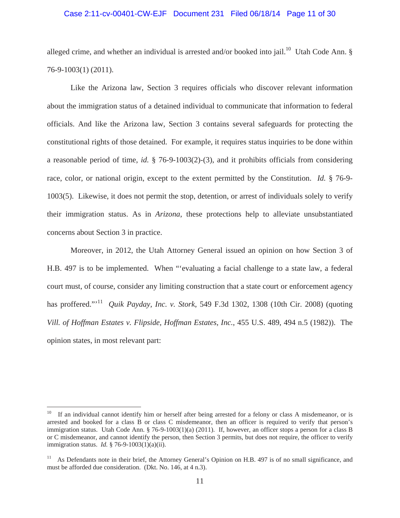### Case 2:11-cv-00401-CW-EJF Document 231 Filed 06/18/14 Page 11 of 30

alleged crime, and whether an individual is arrested and/or booked into jail.<sup>10</sup> Utah Code Ann. § 76-9-1003(1) (2011).

Like the Arizona law, Section 3 requires officials who discover relevant information about the immigration status of a detained individual to communicate that information to federal officials. And like the Arizona law, Section 3 contains several safeguards for protecting the constitutional rights of those detained. For example, it requires status inquiries to be done within a reasonable period of time, *id.* § 76-9-1003(2)-(3), and it prohibits officials from considering race, color, or national origin, except to the extent permitted by the Constitution. *Id.* § 76-9- 1003(5). Likewise, it does not permit the stop, detention, or arrest of individuals solely to verify their immigration status. As in *Arizona*, these protections help to alleviate unsubstantiated concerns about Section 3 in practice.

Moreover, in 2012, the Utah Attorney General issued an opinion on how Section 3 of H.B. 497 is to be implemented. When "'evaluating a facial challenge to a state law, a federal court must, of course, consider any limiting construction that a state court or enforcement agency has proffered."<sup>11</sup> *Quik Payday, Inc. v. Stork*, 549 F.3d 1302, 1308 (10th Cir. 2008) (quoting *Vill. of Hoffman Estates v. Flipside, Hoffman Estates, Inc.*, 455 U.S. 489, 494 n.5 (1982)). The opinion states, in most relevant part:

<sup>&</sup>lt;sup>10</sup> If an individual cannot identify him or herself after being arrested for a felony or class A misdemeanor, or is arrested and booked for a class B or class C misdemeanor, then an officer is required to verify that person's immigration status. Utah Code Ann. § 76-9-1003(1)(a) (2011). If, however, an officer stops a person for a class B or C misdemeanor, and cannot identify the person, then Section 3 permits, but does not require, the officer to verify immigration status. *Id.* § 76-9-1003(1)(a)(ii).

<sup>&</sup>lt;sup>11</sup> As Defendants note in their brief, the Attorney General's Opinion on H.B. 497 is of no small significance, and must be afforded due consideration. (Dkt. No. 146, at 4 n.3).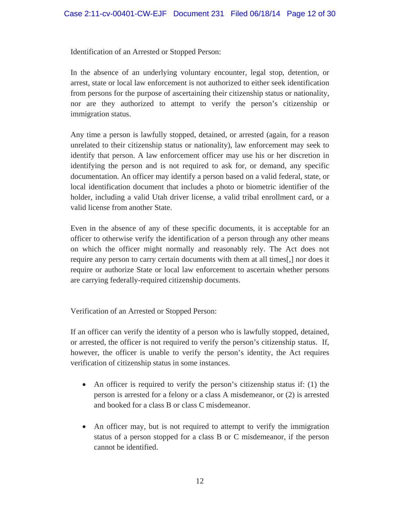Identification of an Arrested or Stopped Person:

In the absence of an underlying voluntary encounter, legal stop, detention, or arrest, state or local law enforcement is not authorized to either seek identification from persons for the purpose of ascertaining their citizenship status or nationality, nor are they authorized to attempt to verify the person's citizenship or immigration status.

Any time a person is lawfully stopped, detained, or arrested (again, for a reason unrelated to their citizenship status or nationality), law enforcement may seek to identify that person. A law enforcement officer may use his or her discretion in identifying the person and is not required to ask for, or demand, any specific documentation. An officer may identify a person based on a valid federal, state, or local identification document that includes a photo or biometric identifier of the holder, including a valid Utah driver license, a valid tribal enrollment card, or a valid license from another State.

Even in the absence of any of these specific documents, it is acceptable for an officer to otherwise verify the identification of a person through any other means on which the officer might normally and reasonably rely. The Act does not require any person to carry certain documents with them at all times[,] nor does it require or authorize State or local law enforcement to ascertain whether persons are carrying federally-required citizenship documents.

Verification of an Arrested or Stopped Person:

If an officer can verify the identity of a person who is lawfully stopped, detained, or arrested, the officer is not required to verify the person's citizenship status. If, however, the officer is unable to verify the person's identity, the Act requires verification of citizenship status in some instances.

- An officer is required to verify the person's citizenship status if: (1) the person is arrested for a felony or a class A misdemeanor, or (2) is arrested and booked for a class B or class C misdemeanor.
- An officer may, but is not required to attempt to verify the immigration status of a person stopped for a class B or C misdemeanor, if the person cannot be identified.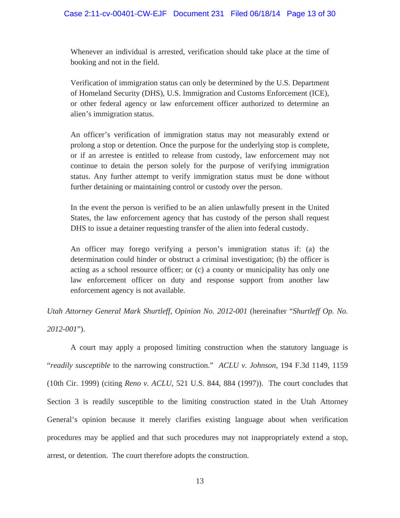Whenever an individual is arrested, verification should take place at the time of booking and not in the field.

Verification of immigration status can only be determined by the U.S. Department of Homeland Security (DHS), U.S. Immigration and Customs Enforcement (ICE), or other federal agency or law enforcement officer authorized to determine an alien's immigration status.

An officer's verification of immigration status may not measurably extend or prolong a stop or detention. Once the purpose for the underlying stop is complete, or if an arrestee is entitled to release from custody, law enforcement may not continue to detain the person solely for the purpose of verifying immigration status. Any further attempt to verify immigration status must be done without further detaining or maintaining control or custody over the person.

In the event the person is verified to be an alien unlawfully present in the United States, the law enforcement agency that has custody of the person shall request DHS to issue a detainer requesting transfer of the alien into federal custody.

An officer may forego verifying a person's immigration status if: (a) the determination could hinder or obstruct a criminal investigation; (b) the officer is acting as a school resource officer; or (c) a county or municipality has only one law enforcement officer on duty and response support from another law enforcement agency is not available.

*Utah Attorney General Mark Shurtleff, Opinion No. 2012-001* (hereinafter "*Shurtleff Op. No. 2012-001*").

A court may apply a proposed limiting construction when the statutory language is "*readily susceptible* to the narrowing construction." *ACLU v. Johnson*, 194 F.3d 1149, 1159 (10th Cir. 1999) (citing *Reno v. ACLU*, 521 U.S. 844, 884 (1997)). The court concludes that Section 3 is readily susceptible to the limiting construction stated in the Utah Attorney General's opinion because it merely clarifies existing language about when verification procedures may be applied and that such procedures may not inappropriately extend a stop, arrest, or detention. The court therefore adopts the construction.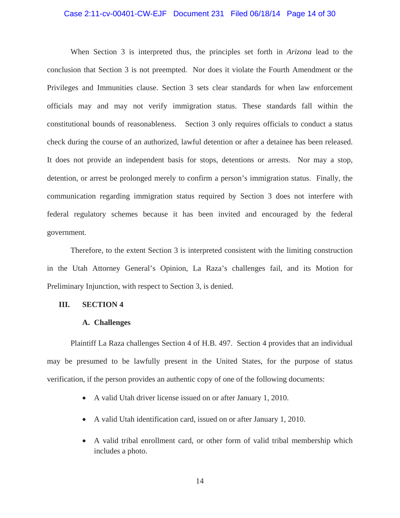#### Case 2:11-cv-00401-CW-EJF Document 231 Filed 06/18/14 Page 14 of 30

When Section 3 is interpreted thus, the principles set forth in *Arizona* lead to the conclusion that Section 3 is not preempted. Nor does it violate the Fourth Amendment or the Privileges and Immunities clause. Section 3 sets clear standards for when law enforcement officials may and may not verify immigration status. These standards fall within the constitutional bounds of reasonableness. Section 3 only requires officials to conduct a status check during the course of an authorized, lawful detention or after a detainee has been released. It does not provide an independent basis for stops, detentions or arrests. Nor may a stop, detention, or arrest be prolonged merely to confirm a person's immigration status. Finally, the communication regarding immigration status required by Section 3 does not interfere with federal regulatory schemes because it has been invited and encouraged by the federal government.

Therefore, to the extent Section 3 is interpreted consistent with the limiting construction in the Utah Attorney General's Opinion, La Raza's challenges fail, and its Motion for Preliminary Injunction, with respect to Section 3, is denied.

#### **III. SECTION 4**

#### **A. Challenges**

Plaintiff La Raza challenges Section 4 of H.B. 497. Section 4 provides that an individual may be presumed to be lawfully present in the United States, for the purpose of status verification, if the person provides an authentic copy of one of the following documents:

- A valid Utah driver license issued on or after January 1, 2010.
- A valid Utah identification card, issued on or after January 1, 2010.
- A valid tribal enrollment card, or other form of valid tribal membership which includes a photo.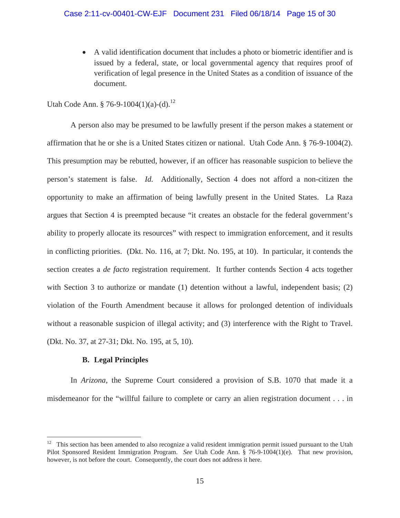• A valid identification document that includes a photo or biometric identifier and is issued by a federal, state, or local governmental agency that requires proof of verification of legal presence in the United States as a condition of issuance of the document.

Utah Code Ann. § 76-9-1004(1)(a)-(d).<sup>12</sup>

A person also may be presumed to be lawfully present if the person makes a statement or affirmation that he or she is a United States citizen or national. Utah Code Ann. § 76-9-1004(2). This presumption may be rebutted, however, if an officer has reasonable suspicion to believe the person's statement is false. *Id.* Additionally, Section 4 does not afford a non-citizen the opportunity to make an affirmation of being lawfully present in the United States. La Raza argues that Section 4 is preempted because "it creates an obstacle for the federal government's ability to properly allocate its resources" with respect to immigration enforcement, and it results in conflicting priorities. (Dkt. No. 116, at 7; Dkt. No. 195, at 10). In particular, it contends the section creates a *de facto* registration requirement. It further contends Section 4 acts together with Section 3 to authorize or mandate (1) detention without a lawful, independent basis; (2) violation of the Fourth Amendment because it allows for prolonged detention of individuals without a reasonable suspicion of illegal activity; and (3) interference with the Right to Travel. (Dkt. No. 37, at 27-31; Dkt. No. 195, at 5, 10).

# **B. Legal Principles**

In *Arizona*, the Supreme Court considered a provision of S.B. 1070 that made it a misdemeanor for the "willful failure to complete or carry an alien registration document . . . in

<sup>&</sup>lt;sup>12</sup> This section has been amended to also recognize a valid resident immigration permit issued pursuant to the Utah Pilot Sponsored Resident Immigration Program. *See* Utah Code Ann. § 76-9-1004(1)(e). That new provision, however, is not before the court. Consequently, the court does not address it here.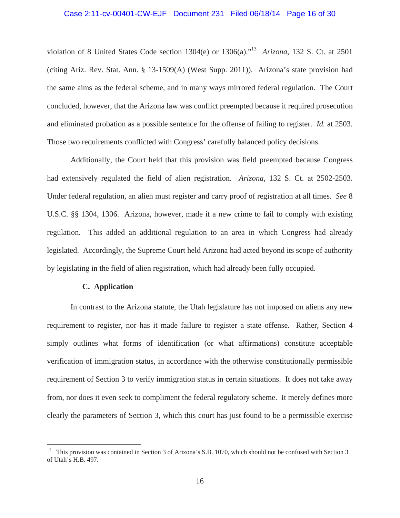# Case 2:11-cv-00401-CW-EJF Document 231 Filed 06/18/14 Page 16 of 30

violation of 8 United States Code section 1304(e) or 1306(a)."13 *Arizona*, 132 S. Ct. at 2501 (citing Ariz. Rev. Stat. Ann. § 13-1509(A) (West Supp. 2011)). Arizona's state provision had the same aims as the federal scheme, and in many ways mirrored federal regulation. The Court concluded, however, that the Arizona law was conflict preempted because it required prosecution and eliminated probation as a possible sentence for the offense of failing to register. *Id.* at 2503. Those two requirements conflicted with Congress' carefully balanced policy decisions.

Additionally, the Court held that this provision was field preempted because Congress had extensively regulated the field of alien registration. *Arizona*, 132 S. Ct. at 2502-2503. Under federal regulation, an alien must register and carry proof of registration at all times. *See* 8 U.S.C. §§ 1304, 1306. Arizona, however, made it a new crime to fail to comply with existing regulation. This added an additional regulation to an area in which Congress had already legislated. Accordingly, the Supreme Court held Arizona had acted beyond its scope of authority by legislating in the field of alien registration, which had already been fully occupied.

### **C. Application**

 In contrast to the Arizona statute, the Utah legislature has not imposed on aliens any new requirement to register, nor has it made failure to register a state offense. Rather, Section 4 simply outlines what forms of identification (or what affirmations) constitute acceptable verification of immigration status, in accordance with the otherwise constitutionally permissible requirement of Section 3 to verify immigration status in certain situations. It does not take away from, nor does it even seek to compliment the federal regulatory scheme. It merely defines more clearly the parameters of Section 3, which this court has just found to be a permissible exercise

<sup>&</sup>lt;sup>13</sup> This provision was contained in Section 3 of Arizona's S.B. 1070, which should not be confused with Section 3 of Utah's H.B. 497.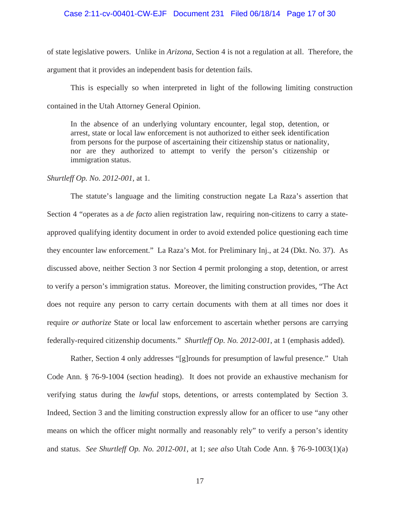#### Case 2:11-cv-00401-CW-EJF Document 231 Filed 06/18/14 Page 17 of 30

of state legislative powers. Unlike in *Arizona*, Section 4 is not a regulation at all. Therefore, the argument that it provides an independent basis for detention fails.

This is especially so when interpreted in light of the following limiting construction contained in the Utah Attorney General Opinion.

In the absence of an underlying voluntary encounter, legal stop, detention, or arrest, state or local law enforcement is not authorized to either seek identification from persons for the purpose of ascertaining their citizenship status or nationality, nor are they authorized to attempt to verify the person's citizenship or immigration status.

# *Shurtleff Op. No. 2012-001*, at 1.

 The statute's language and the limiting construction negate La Raza's assertion that Section 4 "operates as a *de facto* alien registration law, requiring non-citizens to carry a stateapproved qualifying identity document in order to avoid extended police questioning each time they encounter law enforcement." La Raza's Mot. for Preliminary Inj., at 24 (Dkt. No. 37). As discussed above, neither Section 3 nor Section 4 permit prolonging a stop, detention, or arrest to verify a person's immigration status. Moreover, the limiting construction provides, "The Act does not require any person to carry certain documents with them at all times nor does it require *or authorize* State or local law enforcement to ascertain whether persons are carrying federally-required citizenship documents." *Shurtleff Op. No. 2012-001*, at 1 (emphasis added).

 Rather, Section 4 only addresses "[g]rounds for presumption of lawful presence." Utah Code Ann. § 76-9-1004 (section heading). It does not provide an exhaustive mechanism for verifying status during the *lawful* stops, detentions, or arrests contemplated by Section 3. Indeed, Section 3 and the limiting construction expressly allow for an officer to use "any other means on which the officer might normally and reasonably rely" to verify a person's identity and status. *See Shurtleff Op. No. 2012-001*, at 1; *see also* Utah Code Ann. § 76-9-1003(1)(a)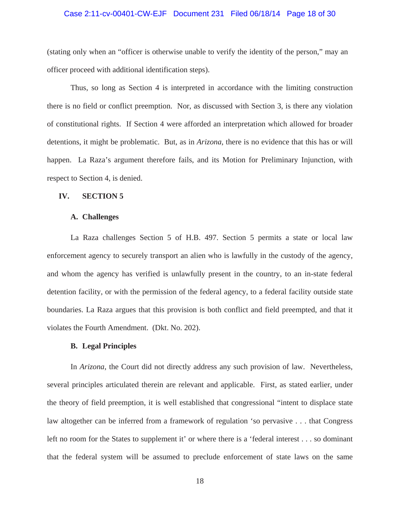## Case 2:11-cv-00401-CW-EJF Document 231 Filed 06/18/14 Page 18 of 30

(stating only when an "officer is otherwise unable to verify the identity of the person," may an officer proceed with additional identification steps).

Thus, so long as Section 4 is interpreted in accordance with the limiting construction there is no field or conflict preemption. Nor, as discussed with Section 3, is there any violation of constitutional rights. If Section 4 were afforded an interpretation which allowed for broader detentions, it might be problematic. But, as in *Arizona*, there is no evidence that this has or will happen. La Raza's argument therefore fails, and its Motion for Preliminary Injunction, with respect to Section 4, is denied.

## **IV. SECTION 5**

# **A. Challenges**

La Raza challenges Section 5 of H.B. 497. Section 5 permits a state or local law enforcement agency to securely transport an alien who is lawfully in the custody of the agency, and whom the agency has verified is unlawfully present in the country, to an in-state federal detention facility, or with the permission of the federal agency, to a federal facility outside state boundaries. La Raza argues that this provision is both conflict and field preempted, and that it violates the Fourth Amendment. (Dkt. No. 202).

# **B. Legal Principles**

In *Arizona*, the Court did not directly address any such provision of law. Nevertheless, several principles articulated therein are relevant and applicable. First, as stated earlier, under the theory of field preemption, it is well established that congressional "intent to displace state law altogether can be inferred from a framework of regulation 'so pervasive . . . that Congress left no room for the States to supplement it' or where there is a 'federal interest . . . so dominant that the federal system will be assumed to preclude enforcement of state laws on the same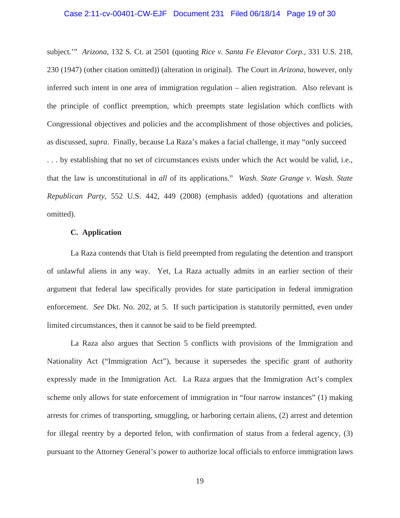# Case 2:11-cv-00401-CW-EJF Document 231 Filed 06/18/14 Page 19 of 30

subject.'" *Arizona*, 132 S. Ct. at 2501 (quoting *Rice v. Santa Fe Elevator Corp.,* 331 U.S. 218, 230 (1947) (other citation omitted)) (alteration in original). The Court in *Arizona*, however, only inferred such intent in one area of immigration regulation – alien registration. Also relevant is the principle of conflict preemption, which preempts state legislation which conflicts with Congressional objectives and policies and the accomplishment of those objectives and policies, as discussed, *supra*. Finally, because La Raza's makes a facial challenge, it may "only succeed . . . by establishing that no set of circumstances exists under which the Act would be valid, i.e., that the law is unconstitutional in *all* of its applications." *Wash. State Grange v. Wash. State Republican Party*, 552 U.S. 442, 449 (2008) (emphasis added) (quotations and alteration omitted).

# **C. Application**

 La Raza contends that Utah is field preempted from regulating the detention and transport of unlawful aliens in any way. Yet, La Raza actually admits in an earlier section of their argument that federal law specifically provides for state participation in federal immigration enforcement. *See* Dkt. No. 202, at 5. If such participation is statutorily permitted, even under limited circumstances, then it cannot be said to be field preempted.

 La Raza also argues that Section 5 conflicts with provisions of the Immigration and Nationality Act ("Immigration Act"), because it supersedes the specific grant of authority expressly made in the Immigration Act. La Raza argues that the Immigration Act's complex scheme only allows for state enforcement of immigration in "four narrow instances" (1) making arrests for crimes of transporting, smuggling, or harboring certain aliens, (2) arrest and detention for illegal reentry by a deported felon, with confirmation of status from a federal agency, (3) pursuant to the Attorney General's power to authorize local officials to enforce immigration laws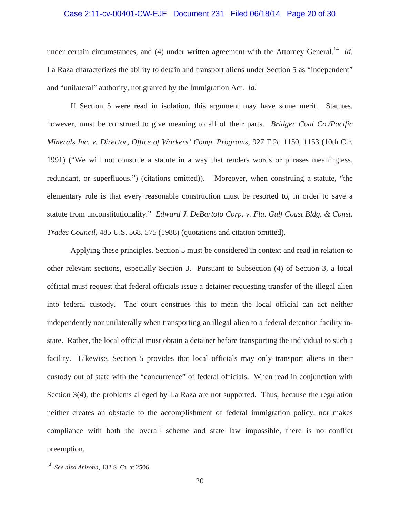# Case 2:11-cv-00401-CW-EJF Document 231 Filed 06/18/14 Page 20 of 30

under certain circumstances, and (4) under written agreement with the Attorney General.<sup>14</sup> *Id.* La Raza characterizes the ability to detain and transport aliens under Section 5 as "independent" and "unilateral" authority, not granted by the Immigration Act. *Id*.

 If Section 5 were read in isolation, this argument may have some merit. Statutes, however, must be construed to give meaning to all of their parts. *Bridger Coal Co./Pacific Minerals Inc. v. Director, Office of Workers' Comp. Programs*, 927 F.2d 1150, 1153 (10th Cir. 1991) ("We will not construe a statute in a way that renders words or phrases meaningless, redundant, or superfluous.") (citations omitted)). Moreover, when construing a statute, "the elementary rule is that every reasonable construction must be resorted to, in order to save a statute from unconstitutionality." *Edward J. DeBartolo Corp. v. Fla. Gulf Coast Bldg. & Const. Trades Council*, 485 U.S. 568, 575 (1988) (quotations and citation omitted).

 Applying these principles, Section 5 must be considered in context and read in relation to other relevant sections, especially Section 3. Pursuant to Subsection (4) of Section 3, a local official must request that federal officials issue a detainer requesting transfer of the illegal alien into federal custody. The court construes this to mean the local official can act neither independently nor unilaterally when transporting an illegal alien to a federal detention facility instate. Rather, the local official must obtain a detainer before transporting the individual to such a facility. Likewise, Section 5 provides that local officials may only transport aliens in their custody out of state with the "concurrence" of federal officials. When read in conjunction with Section 3(4), the problems alleged by La Raza are not supported. Thus, because the regulation neither creates an obstacle to the accomplishment of federal immigration policy, nor makes compliance with both the overall scheme and state law impossible, there is no conflict preemption.

<sup>14</sup> *See also Arizona*, 132 S. Ct. at 2506.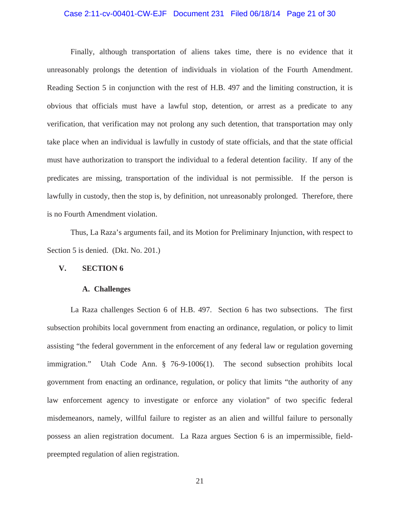## Case 2:11-cv-00401-CW-EJF Document 231 Filed 06/18/14 Page 21 of 30

 Finally, although transportation of aliens takes time, there is no evidence that it unreasonably prolongs the detention of individuals in violation of the Fourth Amendment. Reading Section 5 in conjunction with the rest of H.B. 497 and the limiting construction, it is obvious that officials must have a lawful stop, detention, or arrest as a predicate to any verification, that verification may not prolong any such detention, that transportation may only take place when an individual is lawfully in custody of state officials, and that the state official must have authorization to transport the individual to a federal detention facility. If any of the predicates are missing, transportation of the individual is not permissible. If the person is lawfully in custody, then the stop is, by definition, not unreasonably prolonged. Therefore, there is no Fourth Amendment violation.

 Thus, La Raza's arguments fail, and its Motion for Preliminary Injunction, with respect to Section 5 is denied. (Dkt. No. 201.)

# **V. SECTION 6**

## **A. Challenges**

La Raza challenges Section 6 of H.B. 497. Section 6 has two subsections. The first subsection prohibits local government from enacting an ordinance, regulation, or policy to limit assisting "the federal government in the enforcement of any federal law or regulation governing immigration." Utah Code Ann. § 76-9-1006(1). The second subsection prohibits local government from enacting an ordinance, regulation, or policy that limits "the authority of any law enforcement agency to investigate or enforce any violation" of two specific federal misdemeanors, namely, willful failure to register as an alien and willful failure to personally possess an alien registration document. La Raza argues Section 6 is an impermissible, fieldpreempted regulation of alien registration.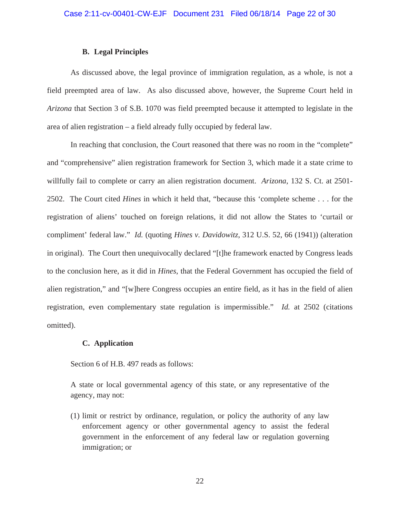# **B. Legal Principles**

As discussed above, the legal province of immigration regulation, as a whole, is not a field preempted area of law. As also discussed above, however, the Supreme Court held in *Arizona* that Section 3 of S.B. 1070 was field preempted because it attempted to legislate in the area of alien registration – a field already fully occupied by federal law.

In reaching that conclusion, the Court reasoned that there was no room in the "complete" and "comprehensive" alien registration framework for Section 3, which made it a state crime to willfully fail to complete or carry an alien registration document. *Arizona*, 132 S. Ct. at 2501- 2502. The Court cited *Hines* in which it held that, "because this 'complete scheme . . . for the registration of aliens' touched on foreign relations, it did not allow the States to 'curtail or compliment' federal law." *Id.* (quoting *Hines v. Davidowitz*, 312 U.S. 52, 66 (1941)) (alteration in original). The Court then unequivocally declared "[t]he framework enacted by Congress leads to the conclusion here, as it did in *Hines*, that the Federal Government has occupied the field of alien registration," and "[w]here Congress occupies an entire field, as it has in the field of alien registration, even complementary state regulation is impermissible." *Id.* at 2502 (citations omitted).

# **C. Application**

Section 6 of H.B. 497 reads as follows:

A state or local governmental agency of this state, or any representative of the agency, may not:

(1) limit or restrict by ordinance, regulation, or policy the authority of any law enforcement agency or other governmental agency to assist the federal government in the enforcement of any federal law or regulation governing immigration; or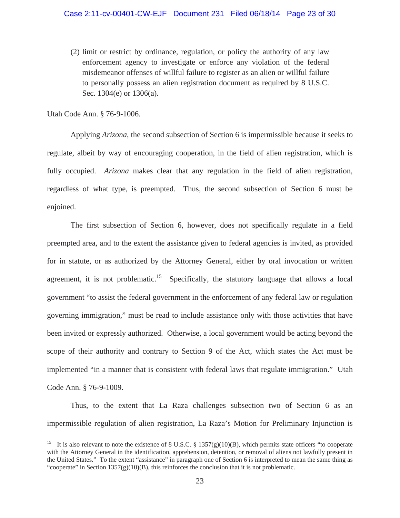(2) limit or restrict by ordinance, regulation, or policy the authority of any law enforcement agency to investigate or enforce any violation of the federal misdemeanor offenses of willful failure to register as an alien or willful failure to personally possess an alien registration document as required by 8 U.S.C. Sec. 1304(e) or 1306(a).

Utah Code Ann. § 76-9-1006.

 Applying *Arizona*, the second subsection of Section 6 is impermissible because it seeks to regulate, albeit by way of encouraging cooperation, in the field of alien registration, which is fully occupied. *Arizona* makes clear that any regulation in the field of alien registration, regardless of what type, is preempted. Thus, the second subsection of Section 6 must be enjoined.

 The first subsection of Section 6, however, does not specifically regulate in a field preempted area, and to the extent the assistance given to federal agencies is invited, as provided for in statute, or as authorized by the Attorney General, either by oral invocation or written agreement, it is not problematic.<sup>15</sup> Specifically, the statutory language that allows a local government "to assist the federal government in the enforcement of any federal law or regulation governing immigration," must be read to include assistance only with those activities that have been invited or expressly authorized. Otherwise, a local government would be acting beyond the scope of their authority and contrary to Section 9 of the Act, which states the Act must be implemented "in a manner that is consistent with federal laws that regulate immigration." Utah Code Ann. § 76-9-1009.

 Thus, to the extent that La Raza challenges subsection two of Section 6 as an impermissible regulation of alien registration, La Raza's Motion for Preliminary Injunction is

<sup>&</sup>lt;sup>15</sup> It is also relevant to note the existence of 8 U.S.C. § 1357(g)(10)(B), which permits state officers "to cooperate with the Attorney General in the identification, apprehension, detention, or removal of aliens not lawfully present in the United States." To the extent "assistance" in paragraph one of Section 6 is interpreted to mean the same thing as "cooperate" in Section  $1357(g)(10)(B)$ , this reinforces the conclusion that it is not problematic.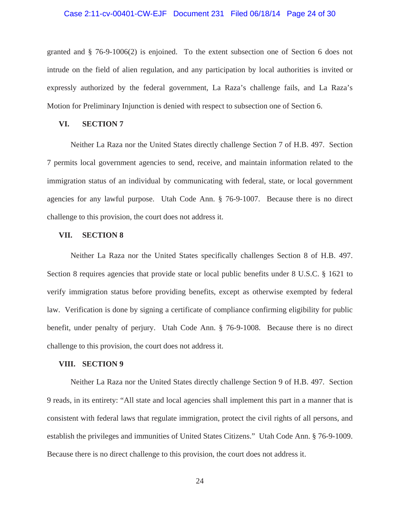# Case 2:11-cv-00401-CW-EJF Document 231 Filed 06/18/14 Page 24 of 30

granted and § 76-9-1006(2) is enjoined. To the extent subsection one of Section 6 does not intrude on the field of alien regulation, and any participation by local authorities is invited or expressly authorized by the federal government, La Raza's challenge fails, and La Raza's Motion for Preliminary Injunction is denied with respect to subsection one of Section 6.

# **VI. SECTION 7**

Neither La Raza nor the United States directly challenge Section 7 of H.B. 497. Section 7 permits local government agencies to send, receive, and maintain information related to the immigration status of an individual by communicating with federal, state, or local government agencies for any lawful purpose. Utah Code Ann. § 76-9-1007. Because there is no direct challenge to this provision, the court does not address it.

# **VII. SECTION 8**

Neither La Raza nor the United States specifically challenges Section 8 of H.B. 497. Section 8 requires agencies that provide state or local public benefits under 8 U.S.C. § 1621 to verify immigration status before providing benefits, except as otherwise exempted by federal law. Verification is done by signing a certificate of compliance confirming eligibility for public benefit, under penalty of perjury. Utah Code Ann. § 76-9-1008. Because there is no direct challenge to this provision, the court does not address it.

### **VIII. SECTION 9**

Neither La Raza nor the United States directly challenge Section 9 of H.B. 497. Section 9 reads, in its entirety: "All state and local agencies shall implement this part in a manner that is consistent with federal laws that regulate immigration, protect the civil rights of all persons, and establish the privileges and immunities of United States Citizens." Utah Code Ann. § 76-9-1009. Because there is no direct challenge to this provision, the court does not address it.

24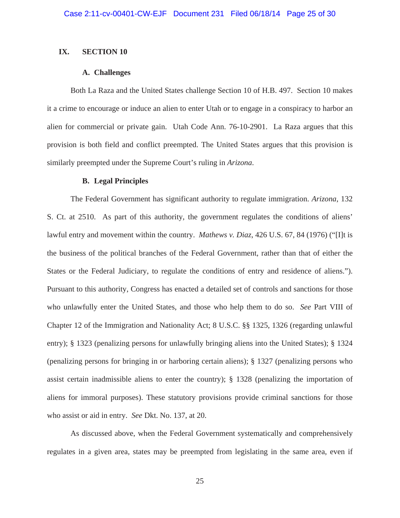# **IX. SECTION 10**

## **A. Challenges**

Both La Raza and the United States challenge Section 10 of H.B. 497. Section 10 makes it a crime to encourage or induce an alien to enter Utah or to engage in a conspiracy to harbor an alien for commercial or private gain. Utah Code Ann. 76-10-2901. La Raza argues that this provision is both field and conflict preempted. The United States argues that this provision is similarly preempted under the Supreme Court's ruling in *Arizona*.

# **B. Legal Principles**

The Federal Government has significant authority to regulate immigration. *Arizona*, 132 S. Ct. at 2510. As part of this authority, the government regulates the conditions of aliens' lawful entry and movement within the country. *Mathews v. Diaz*, 426 U.S. 67, 84 (1976) ("[I]t is the business of the political branches of the Federal Government, rather than that of either the States or the Federal Judiciary, to regulate the conditions of entry and residence of aliens."). Pursuant to this authority, Congress has enacted a detailed set of controls and sanctions for those who unlawfully enter the United States, and those who help them to do so. *See* Part VIII of Chapter 12 of the Immigration and Nationality Act; 8 U.S.C. §§ 1325, 1326 (regarding unlawful entry); § 1323 (penalizing persons for unlawfully bringing aliens into the United States); § 1324 (penalizing persons for bringing in or harboring certain aliens); § 1327 (penalizing persons who assist certain inadmissible aliens to enter the country); § 1328 (penalizing the importation of aliens for immoral purposes). These statutory provisions provide criminal sanctions for those who assist or aid in entry. *See* Dkt. No. 137, at 20.

As discussed above, when the Federal Government systematically and comprehensively regulates in a given area, states may be preempted from legislating in the same area, even if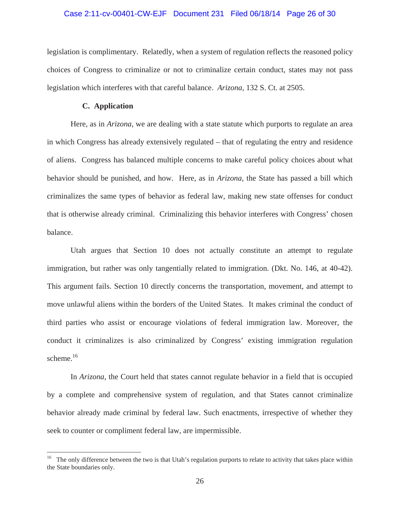# Case 2:11-cv-00401-CW-EJF Document 231 Filed 06/18/14 Page 26 of 30

legislation is complimentary. Relatedly, when a system of regulation reflects the reasoned policy choices of Congress to criminalize or not to criminalize certain conduct, states may not pass legislation which interferes with that careful balance. *Arizona*, 132 S. Ct. at 2505.

## **C. Application**

 Here, as in *Arizona*, we are dealing with a state statute which purports to regulate an area in which Congress has already extensively regulated – that of regulating the entry and residence of aliens. Congress has balanced multiple concerns to make careful policy choices about what behavior should be punished, and how. Here, as in *Arizona*, the State has passed a bill which criminalizes the same types of behavior as federal law, making new state offenses for conduct that is otherwise already criminal. Criminalizing this behavior interferes with Congress' chosen balance.

 Utah argues that Section 10 does not actually constitute an attempt to regulate immigration, but rather was only tangentially related to immigration. (Dkt. No. 146, at 40-42). This argument fails. Section 10 directly concerns the transportation, movement, and attempt to move unlawful aliens within the borders of the United States. It makes criminal the conduct of third parties who assist or encourage violations of federal immigration law. Moreover, the conduct it criminalizes is also criminalized by Congress' existing immigration regulation scheme.<sup>16</sup>

In *Arizona*, the Court held that states cannot regulate behavior in a field that is occupied by a complete and comprehensive system of regulation, and that States cannot criminalize behavior already made criminal by federal law. Such enactments, irrespective of whether they seek to counter or compliment federal law, are impermissible.

<sup>&</sup>lt;sup>16</sup> The only difference between the two is that Utah's regulation purports to relate to activity that takes place within the State boundaries only.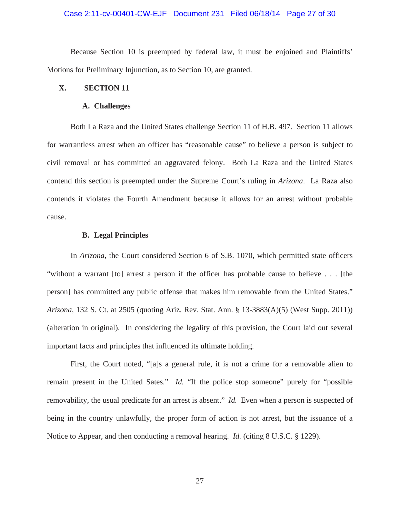## Case 2:11-cv-00401-CW-EJF Document 231 Filed 06/18/14 Page 27 of 30

 Because Section 10 is preempted by federal law, it must be enjoined and Plaintiffs' Motions for Preliminary Injunction, as to Section 10, are granted.

# **X. SECTION 11**

### **A. Challenges**

Both La Raza and the United States challenge Section 11 of H.B. 497. Section 11 allows for warrantless arrest when an officer has "reasonable cause" to believe a person is subject to civil removal or has committed an aggravated felony. Both La Raza and the United States contend this section is preempted under the Supreme Court's ruling in *Arizona*. La Raza also contends it violates the Fourth Amendment because it allows for an arrest without probable cause.

# **B. Legal Principles**

In *Arizona*, the Court considered Section 6 of S.B. 1070, which permitted state officers "without a warrant [to] arrest a person if the officer has probable cause to believe . . . [the person] has committed any public offense that makes him removable from the United States." *Arizona*, 132 S. Ct. at 2505 (quoting Ariz. Rev. Stat. Ann. § 13-3883(A)(5) (West Supp. 2011)) (alteration in original). In considering the legality of this provision, the Court laid out several important facts and principles that influenced its ultimate holding.

First, the Court noted, "[a]s a general rule, it is not a crime for a removable alien to remain present in the United Sates." *Id.* "If the police stop someone" purely for "possible removability, the usual predicate for an arrest is absent." *Id.* Even when a person is suspected of being in the country unlawfully, the proper form of action is not arrest, but the issuance of a Notice to Appear, and then conducting a removal hearing. *Id.* (citing 8 U.S.C. § 1229).

27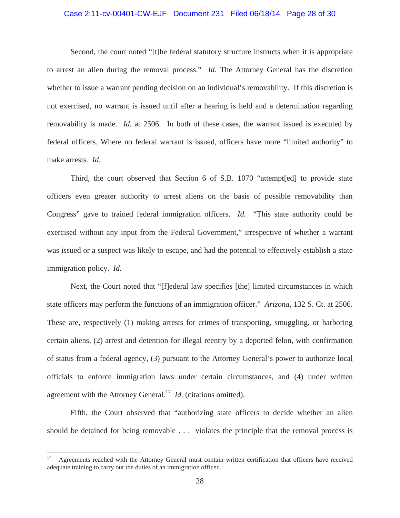# Case 2:11-cv-00401-CW-EJF Document 231 Filed 06/18/14 Page 28 of 30

Second, the court noted "[t]he federal statutory structure instructs when it is appropriate to arrest an alien during the removal process." *Id.* The Attorney General has the discretion whether to issue a warrant pending decision on an individual's removability. If this discretion is not exercised, no warrant is issued until after a hearing is held and a determination regarding removability is made. *Id.* at 2506. In both of these cases, the warrant issued is executed by federal officers. Where no federal warrant is issued, officers have more "limited authority" to make arrests. *Id.*

Third, the court observed that Section 6 of S.B. 1070 "attempt[ed] to provide state officers even greater authority to arrest aliens on the basis of possible removability than Congress" gave to trained federal immigration officers. *Id.* "This state authority could be exercised without any input from the Federal Government," irrespective of whether a warrant was issued or a suspect was likely to escape, and had the potential to effectively establish a state immigration policy. *Id.*

Next, the Court noted that "[f]ederal law specifies [the] limited circumstances in which state officers may perform the functions of an immigration officer." *Arizona*, 132 S. Ct. at 2506. These are, respectively (1) making arrests for crimes of transporting, smuggling, or harboring certain aliens, (2) arrest and detention for illegal reentry by a deported felon, with confirmation of status from a federal agency, (3) pursuant to the Attorney General's power to authorize local officials to enforce immigration laws under certain circumstances, and (4) under written agreement with the Attorney General.<sup>17</sup> *Id.* (citations omitted).

Fifth, the Court observed that "authorizing state officers to decide whether an alien should be detained for being removable . . . violates the principle that the removal process is

<sup>&</sup>lt;sup>17</sup> Agreements reached with the Attorney General must contain written certification that officers have received adequate training to carry out the duties of an immigration officer.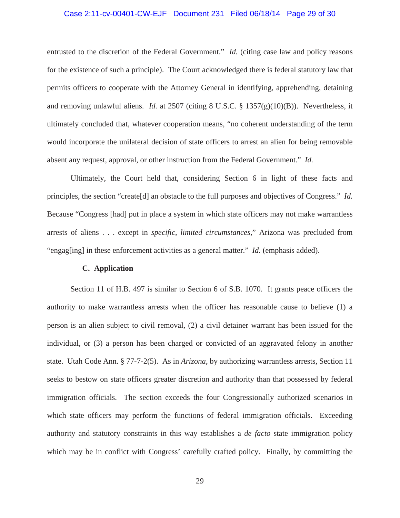# Case 2:11-cv-00401-CW-EJF Document 231 Filed 06/18/14 Page 29 of 30

entrusted to the discretion of the Federal Government." *Id.* (citing case law and policy reasons for the existence of such a principle). The Court acknowledged there is federal statutory law that permits officers to cooperate with the Attorney General in identifying, apprehending, detaining and removing unlawful aliens. *Id.* at 2507 (citing 8 U.S.C. § 1357(g)(10)(B)). Nevertheless, it ultimately concluded that, whatever cooperation means, "no coherent understanding of the term would incorporate the unilateral decision of state officers to arrest an alien for being removable absent any request, approval, or other instruction from the Federal Government." *Id.*

Ultimately, the Court held that, considering Section 6 in light of these facts and principles, the section "create[d] an obstacle to the full purposes and objectives of Congress." *Id.* Because "Congress [had] put in place a system in which state officers may not make warrantless arrests of aliens . . . except in *specific*, *limited circumstances*," Arizona was precluded from "engag[ing] in these enforcement activities as a general matter." *Id.* (emphasis added).

### **C. Application**

 Section 11 of H.B. 497 is similar to Section 6 of S.B. 1070. It grants peace officers the authority to make warrantless arrests when the officer has reasonable cause to believe (1) a person is an alien subject to civil removal, (2) a civil detainer warrant has been issued for the individual, or (3) a person has been charged or convicted of an aggravated felony in another state. Utah Code Ann. § 77-7-2(5). As in *Arizona*, by authorizing warrantless arrests, Section 11 seeks to bestow on state officers greater discretion and authority than that possessed by federal immigration officials. The section exceeds the four Congressionally authorized scenarios in which state officers may perform the functions of federal immigration officials. Exceeding authority and statutory constraints in this way establishes a *de facto* state immigration policy which may be in conflict with Congress' carefully crafted policy. Finally, by committing the